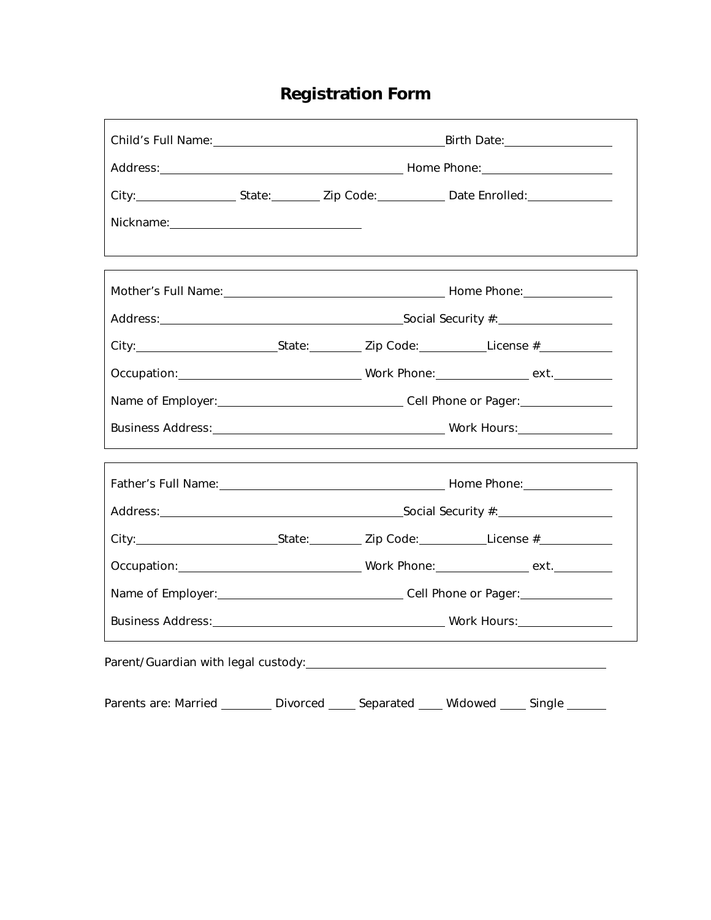# **Registration Form**

|  |  |                                                                                         | City: ___________________State: __________Zip Code: _____________Date Enrolled: ___________________                                                                                                                           |  |
|--|--|-----------------------------------------------------------------------------------------|-------------------------------------------------------------------------------------------------------------------------------------------------------------------------------------------------------------------------------|--|
|  |  |                                                                                         |                                                                                                                                                                                                                               |  |
|  |  |                                                                                         |                                                                                                                                                                                                                               |  |
|  |  |                                                                                         |                                                                                                                                                                                                                               |  |
|  |  |                                                                                         |                                                                                                                                                                                                                               |  |
|  |  |                                                                                         |                                                                                                                                                                                                                               |  |
|  |  |                                                                                         |                                                                                                                                                                                                                               |  |
|  |  |                                                                                         |                                                                                                                                                                                                                               |  |
|  |  |                                                                                         |                                                                                                                                                                                                                               |  |
|  |  |                                                                                         |                                                                                                                                                                                                                               |  |
|  |  |                                                                                         |                                                                                                                                                                                                                               |  |
|  |  |                                                                                         | City: City: City: City: City: City: City: City: City: City: City: City: City: City: City: City: City: City: City: City: City: City: City: City: City: City: City: City: City: City: City: City: City: City: City: City: City: |  |
|  |  |                                                                                         |                                                                                                                                                                                                                               |  |
|  |  | Name of Employer: __________________________________Cell Phone or Pager: ______________ |                                                                                                                                                                                                                               |  |
|  |  |                                                                                         |                                                                                                                                                                                                                               |  |
|  |  |                                                                                         |                                                                                                                                                                                                                               |  |
|  |  |                                                                                         | Parents are: Married ________ Divorced ____ Separated ____ Widowed ____ Single ____                                                                                                                                           |  |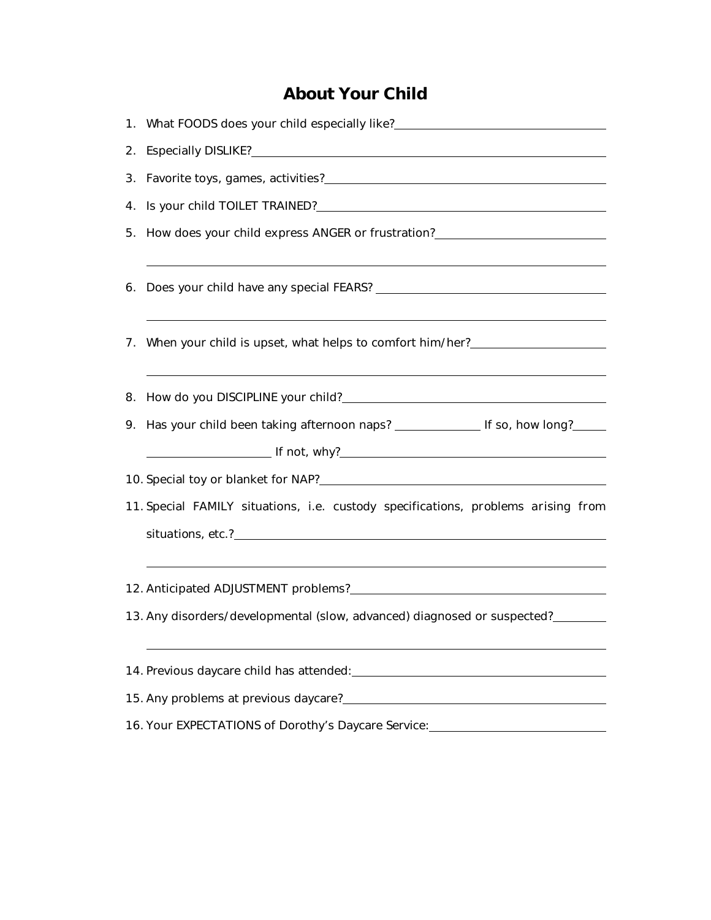# **About Your Child**

|    | 1. What FOODS does your child especially like?<br>1. What FOODS does your child especially like?                                                                                                                               |  |  |
|----|--------------------------------------------------------------------------------------------------------------------------------------------------------------------------------------------------------------------------------|--|--|
| 2. |                                                                                                                                                                                                                                |  |  |
| З. |                                                                                                                                                                                                                                |  |  |
|    | 4. Is your child TOILET TRAINED? Manual Contract Contract Contract Contract Contract Contract Contract Contract Contract Contract Contract Contract Contract Contract Contract Contract Contract Contract Contract Contract Co |  |  |
| 5. | How does your child express ANGER or frustration? ______________________________                                                                                                                                               |  |  |
| 6. | ,我们也不会有什么。""我们的人,我们也不会有什么?""我们的人,我们也不会有什么?""我们的人,我们也不会有什么?""我们的人,我们也不会有什么?""我们的人                                                                                                                                               |  |  |
| 7. | When your child is upset, what helps to comfort him/her?________________________                                                                                                                                               |  |  |
| 8. |                                                                                                                                                                                                                                |  |  |
|    | 9. Has your child been taking afternoon naps? _______________ If so, how long? _____                                                                                                                                           |  |  |
|    |                                                                                                                                                                                                                                |  |  |
|    |                                                                                                                                                                                                                                |  |  |
|    |                                                                                                                                                                                                                                |  |  |
|    | 11. Special FAMILY situations, i.e. custody specifications, problems arising from                                                                                                                                              |  |  |
|    |                                                                                                                                                                                                                                |  |  |
|    |                                                                                                                                                                                                                                |  |  |
|    |                                                                                                                                                                                                                                |  |  |
|    | 13. Any disorders/developmental (slow, advanced) diagnosed or suspected?________                                                                                                                                               |  |  |
|    |                                                                                                                                                                                                                                |  |  |
|    | 14. Previous daycare child has attended:                                                                                                                                                                                       |  |  |
|    | 15. Any problems at previous daycare?                                                                                                                                                                                          |  |  |
|    | 16. Your EXPECTATIONS of Dorothy's Daycare Service: ____________________________                                                                                                                                               |  |  |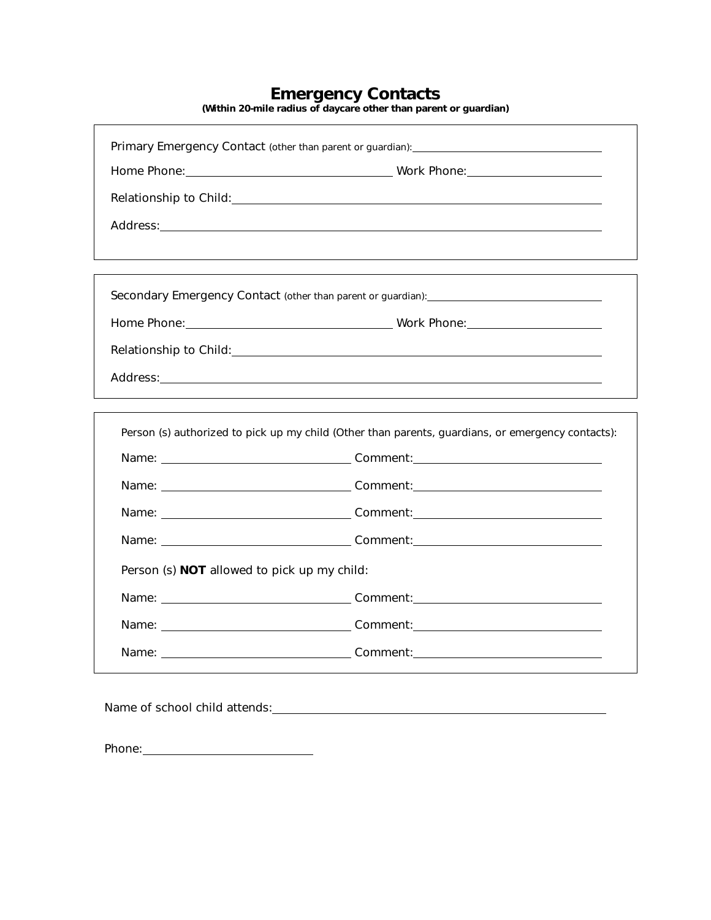### **Emergency Contacts**

**(Within 20-mile radius of daycare other than parent or guardian)**

|                                             | Primary Emergency Contact (other than parent or guardian): _____________________                                                                                                                                               |  |  |  |
|---------------------------------------------|--------------------------------------------------------------------------------------------------------------------------------------------------------------------------------------------------------------------------------|--|--|--|
|                                             |                                                                                                                                                                                                                                |  |  |  |
|                                             |                                                                                                                                                                                                                                |  |  |  |
|                                             |                                                                                                                                                                                                                                |  |  |  |
|                                             |                                                                                                                                                                                                                                |  |  |  |
|                                             |                                                                                                                                                                                                                                |  |  |  |
|                                             | Secondary Emergency Contact (other than parent or guardian): ____________________                                                                                                                                              |  |  |  |
|                                             |                                                                                                                                                                                                                                |  |  |  |
|                                             |                                                                                                                                                                                                                                |  |  |  |
|                                             | Address: the contract of the contract of the contract of the contract of the contract of the contract of the contract of the contract of the contract of the contract of the contract of the contract of the contract of the c |  |  |  |
|                                             |                                                                                                                                                                                                                                |  |  |  |
|                                             | Person (s) authorized to pick up my child (Other than parents, guardians, or emergency contacts):                                                                                                                              |  |  |  |
|                                             |                                                                                                                                                                                                                                |  |  |  |
|                                             |                                                                                                                                                                                                                                |  |  |  |
|                                             |                                                                                                                                                                                                                                |  |  |  |
|                                             |                                                                                                                                                                                                                                |  |  |  |
| Person (s) NOT allowed to pick up my child: |                                                                                                                                                                                                                                |  |  |  |
|                                             |                                                                                                                                                                                                                                |  |  |  |
|                                             |                                                                                                                                                                                                                                |  |  |  |
|                                             |                                                                                                                                                                                                                                |  |  |  |

Name of school child attends:

Phone: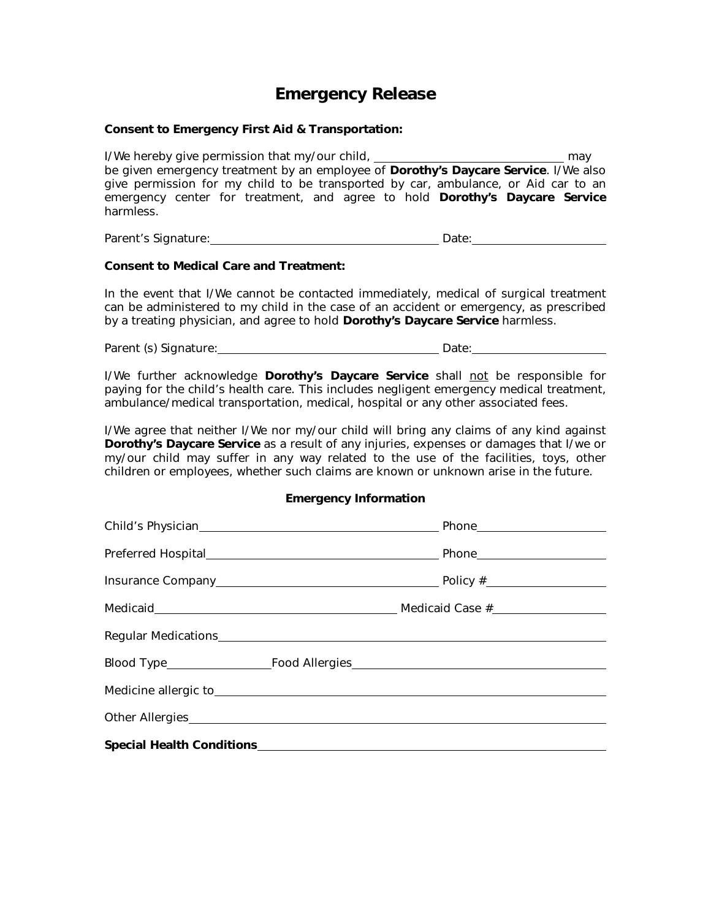### **Emergency Release**

**Consent to Emergency First Aid & Transportation:**

I/We hereby give permission that my/our child, may be given emergency treatment by an employee of **Dorothy's Daycare Service**. I/We also give permission for my child to be transported by car, ambulance, or Aid car to an emergency center for treatment, and agree to hold **Dorothy's Daycare Service**  harmless.

Parent's Signature: Date: Date: Date:

**Consent to Medical Care and Treatment:**

In the event that I/We cannot be contacted immediately, medical of surgical treatment can be administered to my child in the case of an accident or emergency, as prescribed by a treating physician, and agree to hold **Dorothy's Daycare Service** harmless.

Parent (s) Signature: Date: Date: Date: Date: Date: Date: Date: Date: Date: Date: Date: Date: Date: Date: Date: Date: Date: Date: Date: Date: Date: Date: Date: Date: Date: Date: Date: Date: Date: Date: Date: Date: Date: Da

I/We further acknowledge **Dorothy's Daycare Service** shall not be responsible for paying for the child's health care. This includes negligent emergency medical treatment, ambulance/medical transportation, medical, hospital or any other associated fees.

I/We agree that neither I/We nor my/our child will bring any claims of any kind against **Dorothy's Daycare Service** as a result of any injuries, expenses or damages that I/we or my/our child may suffer in any way related to the use of the facilities, toys, other children or employees, whether such claims are known or unknown arise in the future.

#### **Emergency Information**

|  |  | Child's Physician <b>Child's Physician</b>                                       |  |  |
|--|--|----------------------------------------------------------------------------------|--|--|
|  |  |                                                                                  |  |  |
|  |  |                                                                                  |  |  |
|  |  |                                                                                  |  |  |
|  |  |                                                                                  |  |  |
|  |  | Blood Type________________________Food Allergies________________________________ |  |  |
|  |  |                                                                                  |  |  |
|  |  |                                                                                  |  |  |
|  |  |                                                                                  |  |  |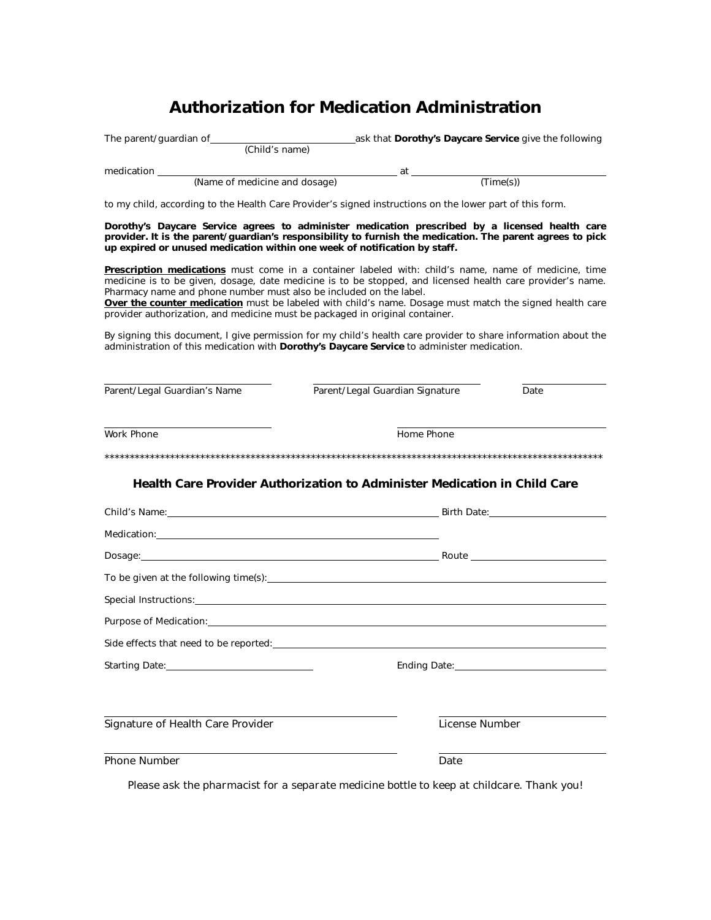# Authorization for Medication Administration

| The parent/guardian of                                                                                                                                                                                                                                                                                                                                                                                                                                                              | (Child's name)                                                                           | ask that Dorothy's Daycare Service give the following                                                          |  |  |  |  |
|-------------------------------------------------------------------------------------------------------------------------------------------------------------------------------------------------------------------------------------------------------------------------------------------------------------------------------------------------------------------------------------------------------------------------------------------------------------------------------------|------------------------------------------------------------------------------------------|----------------------------------------------------------------------------------------------------------------|--|--|--|--|
| medication                                                                                                                                                                                                                                                                                                                                                                                                                                                                          | $\overline{\text{base}}$ at $\overline{\text{Time(s)}}$<br>(Name of medicine and dosage) |                                                                                                                |  |  |  |  |
|                                                                                                                                                                                                                                                                                                                                                                                                                                                                                     |                                                                                          |                                                                                                                |  |  |  |  |
| to my child, according to the Health Care Provider's signed instructions on the lower part of this form.                                                                                                                                                                                                                                                                                                                                                                            |                                                                                          |                                                                                                                |  |  |  |  |
| Dorothy's Daycare Service agrees to administer medication prescribed by a licensed health care<br>provider. It is the parent/guardian's responsibility to furnish the medication. The parent agrees to pick<br>up expired or unused medication within one week of notification by staff.                                                                                                                                                                                            |                                                                                          |                                                                                                                |  |  |  |  |
| Prescription medications must come in a container labeled with: child's name, name of medicine, time<br>medicine is to be given, dosage, date medicine is to be stopped, and licensed health care provider's name.<br>Pharmacy name and phone number must also be included on the label.<br>Over the counter medication must be labeled with child's name. Dosage must match the signed health care<br>provider authorization, and medicine must be packaged in original container. |                                                                                          |                                                                                                                |  |  |  |  |
| administration of this medication with Dorothy's Daycare Service to administer medication.                                                                                                                                                                                                                                                                                                                                                                                          |                                                                                          | By signing this document, I give permission for my child's health care provider to share information about the |  |  |  |  |
| Parent/Legal Guardian's Name                                                                                                                                                                                                                                                                                                                                                                                                                                                        | Parent/Legal Guardian Signature                                                          | Date                                                                                                           |  |  |  |  |
| Work Phone                                                                                                                                                                                                                                                                                                                                                                                                                                                                          | Home Phone                                                                               |                                                                                                                |  |  |  |  |
| Child's Name: Name and Society of the Child's Name and Society and Society and Society and Society and Society and Society and Society and Society and Society and Society and Society and Society and Society and Society and                                                                                                                                                                                                                                                      | Health Care Provider Authorization to Administer Medication in Child Care                |                                                                                                                |  |  |  |  |
| Medication: with a state of the state of the state of the state of the state of the state of the state of the state of the state of the state of the state of the state of the state of the state of the state of the state of                                                                                                                                                                                                                                                      |                                                                                          |                                                                                                                |  |  |  |  |
|                                                                                                                                                                                                                                                                                                                                                                                                                                                                                     |                                                                                          |                                                                                                                |  |  |  |  |
| To be given at the following time(s): the state of the state of the state of the state of the state of the state of the state of the state of the state of the state of the state of the state of the state of the state of th                                                                                                                                                                                                                                                      |                                                                                          |                                                                                                                |  |  |  |  |
| Special Instructions: <u>contract of the set of the set of the set of the set of the set of the set of the set of the set of the set of the set of the set of the set of the set of the set of the set of the set of the set of </u>                                                                                                                                                                                                                                                |                                                                                          |                                                                                                                |  |  |  |  |
| Purpose of Medication: The contract of the contract of the contract of the contract of the contract of the contract of the contract of the contract of the contract of the contract of the contract of the contract of the con                                                                                                                                                                                                                                                      |                                                                                          |                                                                                                                |  |  |  |  |
| Side effects that need to be reported:                                                                                                                                                                                                                                                                                                                                                                                                                                              |                                                                                          |                                                                                                                |  |  |  |  |
|                                                                                                                                                                                                                                                                                                                                                                                                                                                                                     |                                                                                          | Ending Date: Ending Date:                                                                                      |  |  |  |  |
|                                                                                                                                                                                                                                                                                                                                                                                                                                                                                     |                                                                                          |                                                                                                                |  |  |  |  |
| Signature of Health Care Provider                                                                                                                                                                                                                                                                                                                                                                                                                                                   |                                                                                          | License Number                                                                                                 |  |  |  |  |
| Phone Number                                                                                                                                                                                                                                                                                                                                                                                                                                                                        |                                                                                          | Date                                                                                                           |  |  |  |  |

Please ask the pharmacist for a separate medicine bottle to keep at childcare. Thank you!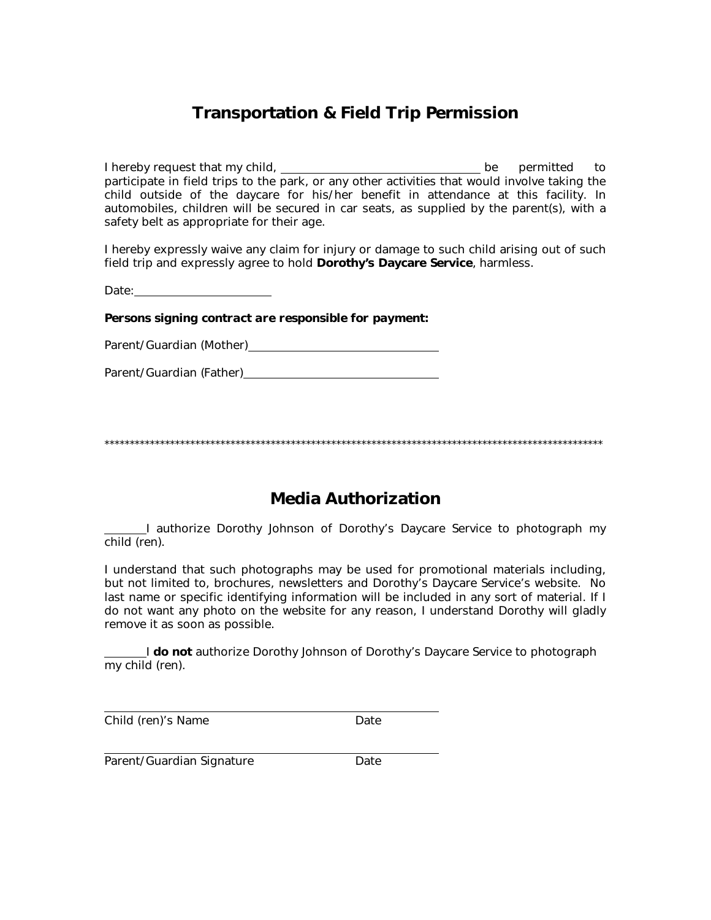## Transportation & Field Trip Permission

I hereby request that my child, be permitted to participate in field trips to the park, or any other activities that would involve taking the child outside of the daycare for his/her benefit in attendance at this facility. In automobiles, children will be secured in car seats, as supplied by the parent(s), with a safety belt as appropriate for their age.

I hereby expressly waive any claim for injury or damage to such child arising out of such field trip and expressly agree to hold Dorothy's Daycare Service, harmless.

Date:

Persons signing contract are responsible for payment:

### Media Authorization

I authorize Dorothy Johnson of Dorothy's Daycare Service to photograph my child (ren).

I understand that such photographs may be used for promotional materials including, but not limited to, brochures, newsletters and Dorothy's Daycare Service's website. No last name or specific identifying information will be included in any sort of material. If I do not want any photo on the website for any reason, I understand Dorothy will gladly remove it as soon as possible.

I do not authorize Dorothy Johnson of Dorothy's Daycare Service to photograph my child (ren).

Child (ren)'s Name

Date

Parent/Guardian Signature

Date